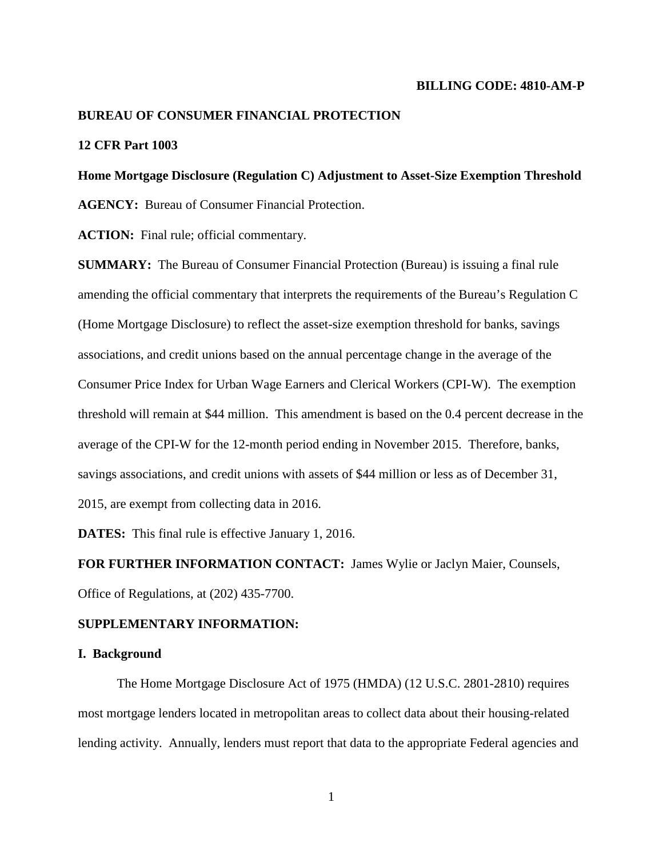#### **BILLING CODE: 4810-AM-P**

#### **BUREAU OF CONSUMER FINANCIAL PROTECTION**

# **12 CFR Part 1003**

**Home Mortgage Disclosure (Regulation C) Adjustment to Asset-Size Exemption Threshold AGENCY:** Bureau of Consumer Financial Protection.

**ACTION:** Final rule; official commentary.

**SUMMARY:** The Bureau of Consumer Financial Protection (Bureau) is issuing a final rule amending the official commentary that interprets the requirements of the Bureau's Regulation C (Home Mortgage Disclosure) to reflect the asset-size exemption threshold for banks, savings associations, and credit unions based on the annual percentage change in the average of the Consumer Price Index for Urban Wage Earners and Clerical Workers (CPI-W). The exemption threshold will remain at \$44 million. This amendment is based on the 0.4 percent decrease in the average of the CPI-W for the 12-month period ending in November 2015. Therefore, banks, savings associations, and credit unions with assets of \$44 million or less as of December 31, 2015, are exempt from collecting data in 2016.

**DATES:** This final rule is effective January 1, 2016.

**FOR FURTHER INFORMATION CONTACT:** James Wylie or Jaclyn Maier, Counsels, Office of Regulations, at (202) 435-7700.

#### **SUPPLEMENTARY INFORMATION:**

## **I. Background**

The Home Mortgage Disclosure Act of 1975 (HMDA) (12 U.S.C. 2801-2810) requires most mortgage lenders located in metropolitan areas to collect data about their housing-related lending activity. Annually, lenders must report that data to the appropriate Federal agencies and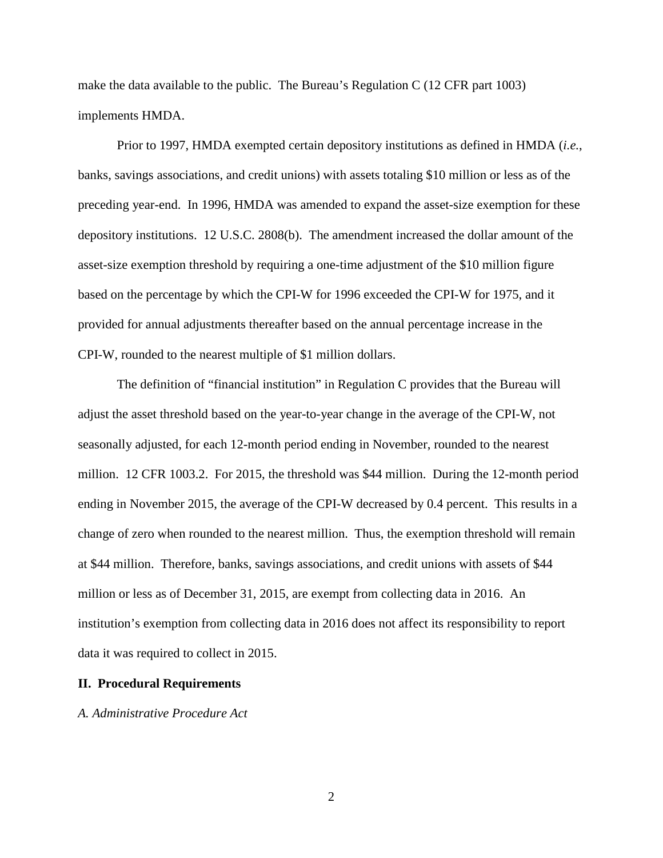make the data available to the public. The Bureau's Regulation C (12 CFR part 1003) implements HMDA.

Prior to 1997, HMDA exempted certain depository institutions as defined in HMDA (*i.e.*, banks, savings associations, and credit unions) with assets totaling \$10 million or less as of the preceding year-end. In 1996, HMDA was amended to expand the asset-size exemption for these depository institutions. 12 U.S.C. 2808(b). The amendment increased the dollar amount of the asset-size exemption threshold by requiring a one-time adjustment of the \$10 million figure based on the percentage by which the CPI-W for 1996 exceeded the CPI-W for 1975, and it provided for annual adjustments thereafter based on the annual percentage increase in the CPI-W, rounded to the nearest multiple of \$1 million dollars.

The definition of "financial institution" in Regulation C provides that the Bureau will adjust the asset threshold based on the year-to-year change in the average of the CPI-W, not seasonally adjusted, for each 12-month period ending in November, rounded to the nearest million. 12 CFR 1003.2. For 2015, the threshold was \$44 million. During the 12-month period ending in November 2015, the average of the CPI-W decreased by 0.4 percent. This results in a change of zero when rounded to the nearest million. Thus, the exemption threshold will remain at \$44 million. Therefore, banks, savings associations, and credit unions with assets of \$44 million or less as of December 31, 2015, are exempt from collecting data in 2016. An institution's exemption from collecting data in 2016 does not affect its responsibility to report data it was required to collect in 2015.

#### **II. Procedural Requirements**

#### *A. Administrative Procedure Act*

2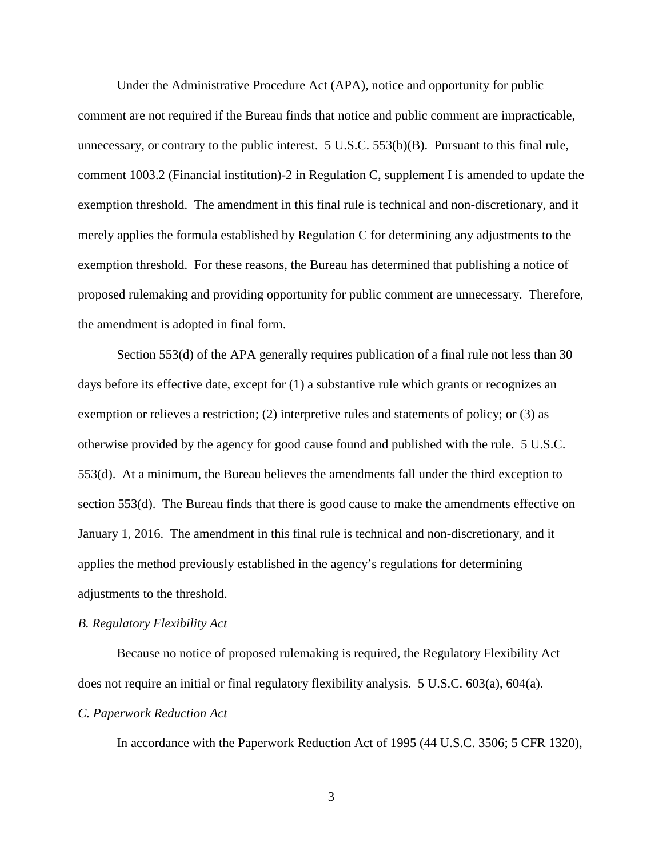Under the Administrative Procedure Act (APA), notice and opportunity for public comment are not required if the Bureau finds that notice and public comment are impracticable, unnecessary, or contrary to the public interest. 5 U.S.C. 553(b)(B). Pursuant to this final rule, comment 1003.2 (Financial institution)-2 in Regulation C, supplement I is amended to update the exemption threshold. The amendment in this final rule is technical and non-discretionary, and it merely applies the formula established by Regulation C for determining any adjustments to the exemption threshold. For these reasons, the Bureau has determined that publishing a notice of proposed rulemaking and providing opportunity for public comment are unnecessary. Therefore, the amendment is adopted in final form.

Section 553(d) of the APA generally requires publication of a final rule not less than 30 days before its effective date, except for (1) a substantive rule which grants or recognizes an exemption or relieves a restriction; (2) interpretive rules and statements of policy; or (3) as otherwise provided by the agency for good cause found and published with the rule. 5 U.S.C. 553(d). At a minimum, the Bureau believes the amendments fall under the third exception to section 553(d). The Bureau finds that there is good cause to make the amendments effective on January 1, 2016. The amendment in this final rule is technical and non-discretionary, and it applies the method previously established in the agency's regulations for determining adjustments to the threshold.

# *B. Regulatory Flexibility Act*

Because no notice of proposed rulemaking is required, the Regulatory Flexibility Act does not require an initial or final regulatory flexibility analysis. 5 U.S.C. 603(a), 604(a). *C. Paperwork Reduction Act*

In accordance with the Paperwork Reduction Act of 1995 (44 U.S.C. 3506; 5 CFR 1320),

3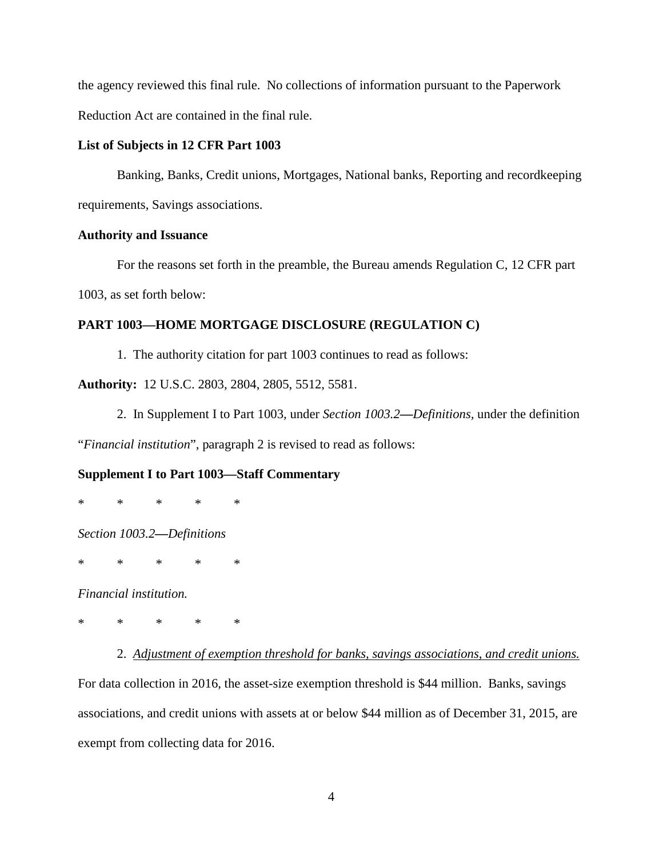the agency reviewed this final rule. No collections of information pursuant to the Paperwork Reduction Act are contained in the final rule.

#### **List of Subjects in 12 CFR Part 1003**

Banking, Banks, Credit unions, Mortgages, National banks, Reporting and recordkeeping requirements, Savings associations.

# **Authority and Issuance**

For the reasons set forth in the preamble, the Bureau amends Regulation C, 12 CFR part 1003, as set forth below:

# **PART 1003—HOME MORTGAGE DISCLOSURE (REGULATION C)**

1. The authority citation for part 1003 continues to read as follows:

**Authority:** 12 U.S.C. 2803, 2804, 2805, 5512, 5581.

2. In Supplement I to Part 1003, under *Section 1003.2—Definitions,* under the definition "*Financial institution*", paragraph 2 is revised to read as follows:

### **Supplement I to Part 1003—Staff Commentary**

\* \* \* \* \*

*Section 1003.2—Definitions*

\* \* \* \* \*

*Financial institution.*

\* \* \* \* \*

2. *Adjustment of exemption threshold for banks, savings associations, and credit unions.* For data collection in 2016, the asset-size exemption threshold is \$44 million. Banks, savings associations, and credit unions with assets at or below \$44 million as of December 31, 2015, are exempt from collecting data for 2016.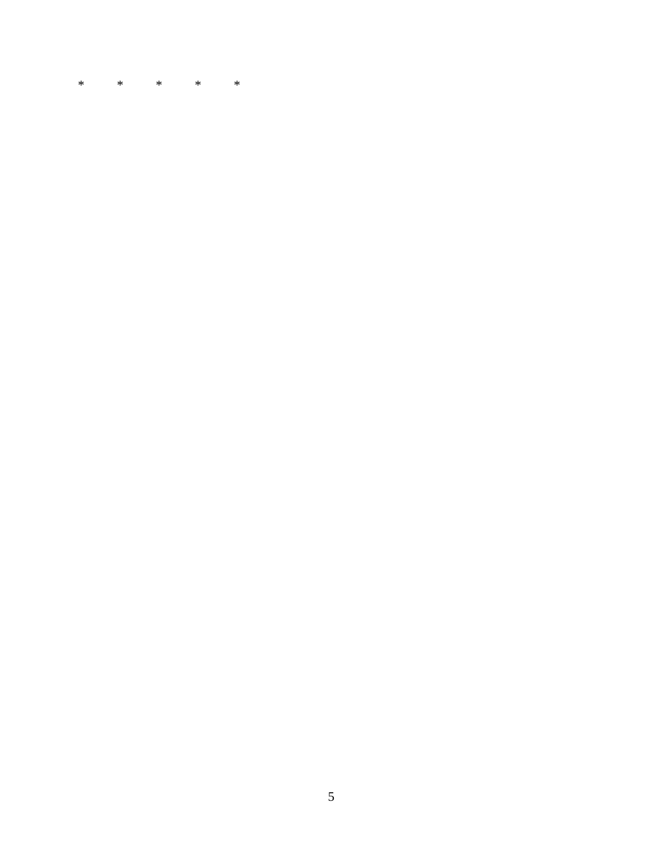#### $\ast$  $\ast$  $\ast$  $\ast$  $\ast$